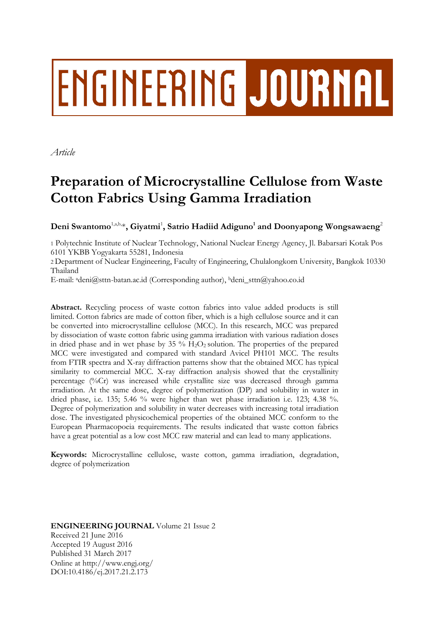# **ENGINEERING JOURNAL**

*Article*

# **Preparation of Microcrystalline Cellulose from Waste Cotton Fabrics Using Gamma Irradiation**

 $\mathbf{Deni}$  Swantomo $^{\text{1, a, b, *}}, \mathbf{Giyatmi}^{\text{1}}, \mathbf{Satrio}$  Hadiid Adiguno $^{\text{1}}$  and  $\mathbf{Doonyapong}$  Wongsawaeng $^{\text{2}}$ 

1 Polytechnic Institute of Nuclear Technology, National Nuclear Energy Agency, Jl. Babarsari Kotak Pos 6101 YKBB Yogyakarta 55281, Indonesia

2 Department of Nuclear Engineering, Faculty of Engineering, Chulalongkorn University, Bangkok 10330 Thailand

E-mail: adeni@sttn-batan.ac.id (Corresponding author), <sup>b</sup>deni\_sttn@yahoo.co.id

**Abstract.** Recycling process of waste cotton fabrics into value added products is still limited. Cotton fabrics are made of cotton fiber, which is a high cellulose source and it can be converted into microcrystalline cellulose (MCC). In this research, MCC was prepared by dissociation of waste cotton fabric using gamma irradiation with various radiation doses in dried phase and in wet phase by  $35\%$  H<sub>2</sub>O<sub>2</sub> solution. The properties of the prepared MCC were investigated and compared with standard Avicel PH101 MCC. The results from FTIR spectra and X-ray diffraction patterns show that the obtained MCC has typical similarity to commercial MCC. X-ray diffraction analysis showed that the crystallinity percentage (%Cr) was increased while crystallite size was decreased through gamma irradiation. At the same dose, degree of polymerization (DP) and solubility in water in dried phase, i.e. 135; 5.46 % were higher than wet phase irradiation i.e. 123; 4.38 %. Degree of polymerization and solubility in water decreases with increasing total irradiation dose. The investigated physicochemical properties of the obtained MCC conform to the European Pharmacopoeia requirements. The results indicated that waste cotton fabrics have a great potential as a low cost MCC raw material and can lead to many applications.

**Keywords:** Microcrystalline cellulose, waste cotton, gamma irradiation, degradation, degree of polymerization

**ENGINEERING JOURNAL** Volume 21 Issue 2 Received 21 June 2016 Accepted 19 August 2016 Published 31 March 2017 Online at http://www.engj.org/ DOI:10.4186/ej.2017.21.2.173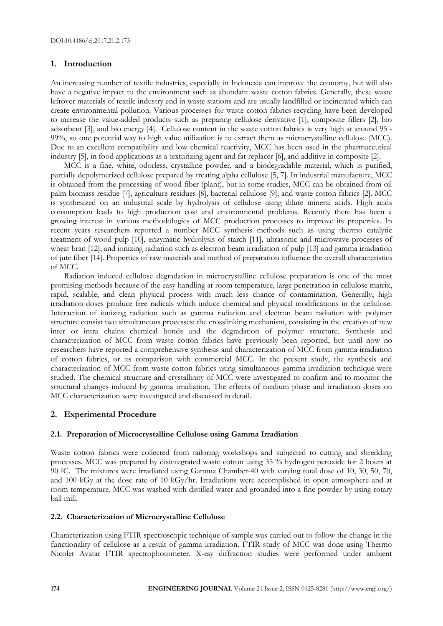# **1. Introduction**

An increasing number of textile industries, especially in Indonesia can improve the economy, but will also have a negative impact to the environment such as abundant waste cotton fabrics. Generally, these waste leftover materials of textile industry end in waste stations and are usually landfilled or incinerated which can create environmental pollution. Various processes for waste cotton fabrics recycling have been developed to increase the value-added products such as preparing cellulose derivative [1], composite fillers [2], bio adsorbent [3], and bio energy [4]. Cellulose content in the waste cotton fabrics is very high at around 95 - 99%, so one potential way to high value utilization is to extract them as microcrystalline cellulose (MCC). Due to an excellent compatibility and low chemical reactivity, MCC has been used in the pharmaceutical industry [5], in food applications as a texturizing agent and fat replacer [6], and additive in composite [2].

MCC is a fine, white, odorless, crystalline powder, and a biodegradable material, which is purified, partially depolymerized cellulose prepared by treating alpha cellulose [5, 7]. In industrial manufacture, MCC is obtained from the processing of wood fiber (plant), but in some studies, MCC can be obtained from oil palm biomass residue [7], agriculture residues [8], bacterial cellulose [9], and waste cotton fabrics [2]. MCC is synthesized on an industrial scale by hydrolysis of cellulose using dilute mineral acids. High acids consumption leads to high production cost and environmental problems. Recently there has been a growing interest in various methodologies of MCC production processes to improve its properties. In recent years researchers reported a number MCC synthesis methods such as using thermo catalytic treatment of wood pulp [10], enzymatic hydrolysis of starch [11], ultrasonic and microwave processes of wheat bran [12], and ionizing radiation such as electron beam irradiation of pulp [13] and gamma irradiation of jute fiber [14]. Properties of raw materials and method of preparation influence the overall characteristics of MCC.

Radiation induced cellulose degradation in microcrystalline cellulose preparation is one of the most promising methods because of the easy handling at room temperature, large penetration in cellulose matrix, rapid, scalable, and clean physical process with much less chance of contamination. Generally, high irradiation doses produce free radicals which induce chemical and physical modifications in the cellulose. Interaction of ionizing radiation such as gamma radiation and electron beam radiation with polymer structure consist two simultaneous processes: the crosslinking mechanism, consisting in the creation of new inter or intra chains chemical bonds and the degradation of polymer structure. Synthesis and characterization of MCC from waste cotton fabrics have previously been reported, but until now no researchers have reported a comprehensive synthesis and characterization of MCC from gamma irradiation of cotton fabrics, or its comparison with commercial MCC. In the present study, the synthesis and characterization of MCC from waste cotton fabrics using simultaneous gamma irradiation technique were studied. The chemical structure and crystallinity of MCC were investigated to confirm and to monitor the structural changes induced by gamma irradiation. The effects of medium phase and irradiation doses on MCC characterization were investigated and discussed in detail.

# **2. Experimental Procedure**

#### **2.1. Preparation of Microcrystalline Cellulose using Gamma Irradiation**

Waste cotton fabrics were collected from tailoring workshops and subjected to cutting and shredding processes. MCC was prepared by disintegrated waste cotton using 35 % hydrogen peroxide for 2 hours at 90 0C. The mixtures were irradiated using Gamma Chamber-40 with varying total dose of 10, 30, 50, 70, and 100 kGy at the dose rate of 10 kGy/hr. Irradiations were accomplished in open atmosphere and at room temperature. MCC was washed with distilled water and grounded into a fine powder by using rotary ball mill.

#### **2.2. Characterization of Microcrystalline Cellulose**

Characterization using FTIR spectroscopic technique of sample was carried out to follow the change in the functionality of cellulose as a result of gamma irradiation. FTIR study of MCC was done using Thermo Nicolet Avatar FTIR spectrophotometer. X-ray diffraction studies were performed under ambient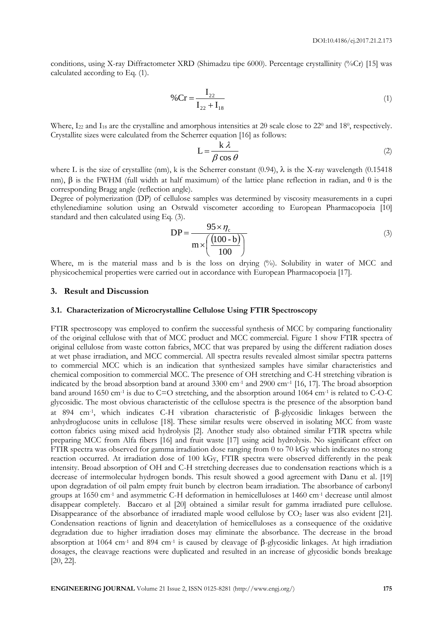conditions, using X-ray Diffractometer XRD (Shimadzu tipe 6000). Percentage crystallinity (%Cr) [15] was calculated according to Eq. (1).

$$
\% \operatorname{Cr} = \frac{\mathbf{I}_{22}}{\mathbf{I}_{22} + \mathbf{I}_{18}} \tag{1}
$$

Where,  $I_{22}$  and  $I_{18}$  are the crystalline and amorphous intensities at 20 scale close to 22<sup>0</sup> and 18<sup>0</sup>, respectively. Crystallite sizes were calculated from the Scherrer equation [16] as follows:

$$
L = \frac{k \lambda}{\beta \cos \theta} \tag{2}
$$

where L is the size of crystallite (nm), k is the Scherrer constant (0.94),  $\lambda$  is the X-ray wavelength (0.15418 nm),  $\beta$  is the FWHM (full width at half maximum) of the lattice plane reflection in radian, and  $\theta$  is the corresponding Bragg angle (reflection angle).

Degree of polymerization (DP) of cellulose samples was determined by viscosity measurements in a cupri ethylenediamine solution using an Ostwald viscometer according to European Pharmacopoeia [10] standard and then calculated using Eq. (3).

$$
DP = \frac{95 \times \eta_c}{m \times \left(\frac{(100 - b)}{100}\right)}
$$
(3)

Where, m is the material mass and b is the loss on drying (%). Solubility in water of MCC and physicochemical properties were carried out in accordance with European Pharmacopoeia [17].

# **3. Result and Discussion**

#### **3.1. Characterization of Microcrystalline Cellulose Using FTIR Spectroscopy**

FTIR spectroscopy was employed to confirm the successful synthesis of MCC by comparing functionality of the original cellulose with that of MCC product and MCC commercial. Figure 1 show FTIR spectra of original cellulose from waste cotton fabrics, MCC that was prepared by using the different radiation doses at wet phase irradiation, and MCC commercial. All spectra results revealed almost similar spectra patterns to commercial MCC which is an indication that synthesized samples have similar characteristics and chemical composition to commercial MCC. The presence of OH stretching and C-H stretching vibration is indicated by the broad absorption band at around 3300 cm-1 and 2900 cm–<sup>1</sup> [16, 17]. The broad absorption band around 1650 cm<sup>-1</sup> is due to C=O stretching, and the absorption around 1064 cm<sup>-1</sup> is related to C-O-C glycosidic. The most obvious characteristic of the cellulose spectra is the presence of the absorption band at 894 cm<sup>-1</sup>, which indicates C-H vibration characteristic of  $\beta$ -glycosidic linkages between the anhydroglucose units in cellulose [18]. These similar results were observed in isolating MCC from waste cotton fabrics using mixed acid hydrolysis [2]. Another study also obtained similar FTIR spectra while preparing MCC from Alfa fibers [16] and fruit waste [17] using acid hydrolysis. No significant effect on FTIR spectra was observed for gamma irradiation dose ranging from 0 to 70 kGy which indicates no strong reaction occurred. At irradiation dose of 100 kGy, FTIR spectra were observed differently in the peak intensity. Broad absorption of OH and C-H stretching decreases due to condensation reactions which is a decrease of intermolecular hydrogen bonds. This result showed a good agreement with Danu et al. [19] upon degradation of oil palm empty fruit bunch by electron beam irradiation. The absorbance of carbonyl groups at 1650 cm-1 and asymmetric C-H deformation in hemicelluloses at 1460 cm-1 decrease until almost disappear completely. Baccaro et al [20] obtained a similar result for gamma irradiated pure cellulose. Disappearance of the absorbance of irradiated maple wood cellulose by  $CO<sub>2</sub>$  laser was also evident [21]. Condensation reactions of lignin and deacetylation of hemicelluloses as a consequence of the oxidative degradation due to higher irradiation doses may eliminate the absorbance. The decrease in the broad absorption at 1064 cm<sup>-1</sup> and 894 cm<sup>-1</sup> is caused by cleavage of  $\beta$ -glycosidic linkages. At high irradiation dosages, the cleavage reactions were duplicated and resulted in an increase of glycosidic bonds breakage [20, 22].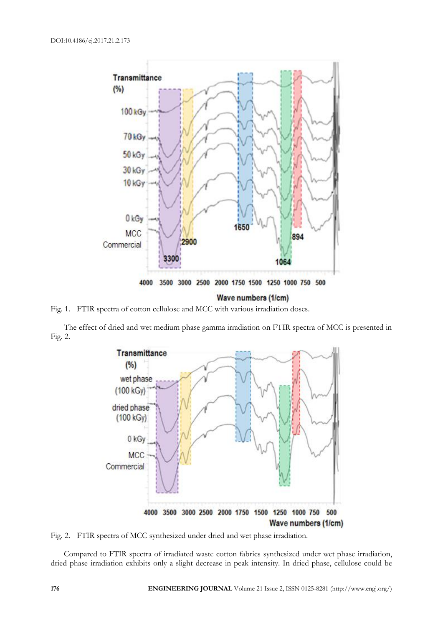

Fig. 1. FTIR spectra of cotton cellulose and MCC with various irradiation doses.

The effect of dried and wet medium phase gamma irradiation on FTIR spectra of MCC is presented in Fig. 2.



Fig. 2. FTIR spectra of MCC synthesized under dried and wet phase irradiation.

Compared to FTIR spectra of irradiated waste cotton fabrics synthesized under wet phase irradiation, dried phase irradiation exhibits only a slight decrease in peak intensity. In dried phase, cellulose could be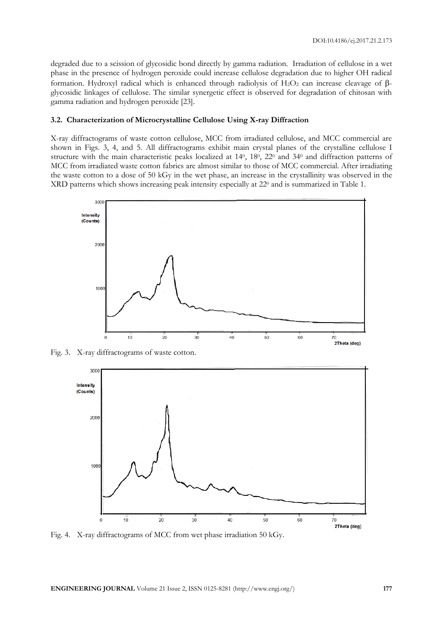degraded due to a scission of glycosidic bond directly by gamma radiation. Irradiation of cellulose in a wet phase in the presence of hydrogen peroxide could increase cellulose degradation due to higher OH radical formation. Hydroxyl radical which is enhanced through radiolysis of H<sub>2</sub>O<sub>2</sub> can increase cleavage of  $\beta$ glycosidic linkages of cellulose. The similar synergetic effect is observed for degradation of chitosan with gamma radiation and hydrogen peroxide [23].

#### **3.2. Characterization of Microcrystalline Cellulose Using X-ray Diffraction**

X-ray diffractograms of waste cotton cellulose, MCC from irradiated cellulose, and MCC commercial are shown in Figs. 3, 4, and 5. All diffractograms exhibit main crystal planes of the crystalline cellulose I structure with the main characteristic peaks localized at 140, 180, 220 and 340 and diffraction patterns of MCC from irradiated waste cotton fabrics are almost similar to those of MCC commercial. After irradiating the waste cotton to a dose of 50 kGy in the wet phase, an increase in the crystallinity was observed in the XRD patterns which shows increasing peak intensity especially at 22<sup>0</sup> and is summarized in Table 1.



Fig. 3. X-ray diffractograms of waste cotton.



Fig. 4. X-ray diffractograms of MCC from wet phase irradiation 50 kGy.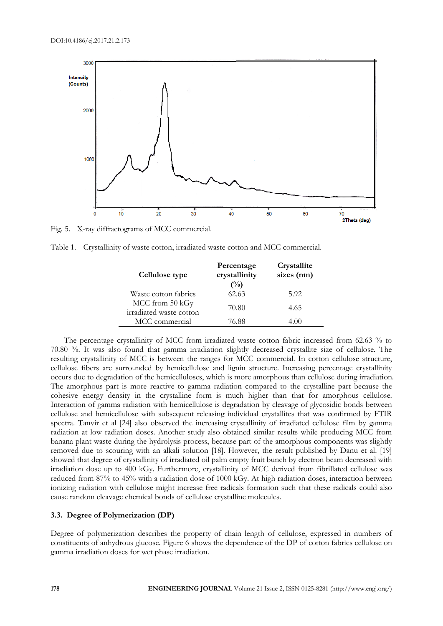

Fig. 5. X-ray diffractograms of MCC commercial.

Table 1. Crystallinity of waste cotton, irradiated waste cotton and MCC commercial.

| Cellulose type                             | Percentage<br>crystallinity<br>$\frac{1}{2}$ | Crystallite<br>sizes (nm) |
|--------------------------------------------|----------------------------------------------|---------------------------|
| Waste cotton fabrics                       | 62.63                                        | 5.92                      |
| MCC from 50 kGy<br>irradiated waste cotton | 70.80                                        | 4.65                      |
| MCC commercial                             | 76.88                                        | 4.00                      |

The percentage crystallinity of MCC from irradiated waste cotton fabric increased from 62.63 % to 70.80 %. It was also found that gamma irradiation slightly decreased crystallite size of cellulose. The resulting crystallinity of MCC is between the ranges for MCC commercial. In cotton cellulose structure, cellulose fibers are surrounded by hemicellulose and lignin structure. Increasing percentage crystallinity occurs due to degradation of the hemicelluloses, which is more amorphous than cellulose during irradiation. The amorphous part is more reactive to gamma radiation compared to the crystalline part because the cohesive energy density in the crystalline form is much higher than that for amorphous cellulose. Interaction of gamma radiation with hemicellulose is degradation by cleavage of glycosidic bonds between cellulose and hemicellulose with subsequent releasing individual crystallites that was confirmed by FTIR spectra. Tanvir et al [24] also observed the increasing crystallinity of irradiated cellulose film by gamma radiation at low radiation doses. Another study also obtained similar results while producing MCC from banana plant waste during the hydrolysis process, because part of the amorphous components was slightly removed due to scouring with an alkali solution [18]. However, the result published by Danu et al. [19] showed that degree of crystallinity of irradiated oil palm empty fruit bunch by electron beam decreased with irradiation dose up to 400 kGy. Furthermore, crystallinity of MCC derived from fibrillated cellulose was reduced from 87% to 45% with a radiation dose of 1000 kGy. At high radiation doses, interaction between ionizing radiation with cellulose might increase free radicals formation such that these radicals could also cause random cleavage chemical bonds of cellulose crystalline molecules.

#### **3.3. Degree of Polymerization (DP)**

Degree of polymerization describes the property of chain length of cellulose, expressed in numbers of constituents of anhydrous glucose. Figure 6 shows the dependence of the DP of cotton fabrics cellulose on gamma irradiation doses for wet phase irradiation.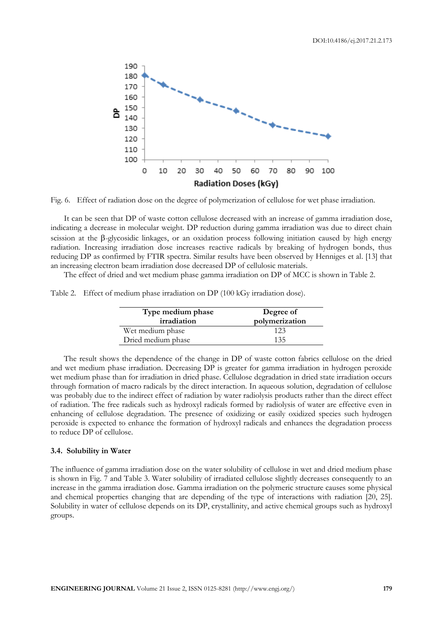

Fig. 6. Effect of radiation dose on the degree of polymerization of cellulose for wet phase irradiation.

It can be seen that DP of waste cotton cellulose decreased with an increase of gamma irradiation dose, indicating a decrease in molecular weight. DP reduction during gamma irradiation was due to direct chain scission at the  $\beta$ -glycosidic linkages, or an oxidation process following initiation caused by high energy radiation. Increasing irradiation dose increases reactive radicals by breaking of hydrogen bonds, thus reducing DP as confirmed by FTIR spectra. Similar results have been observed by Henniges et al. [13] that an increasing electron beam irradiation dose decreased DP of cellulosic materials.

The effect of dried and wet medium phase gamma irradiation on DP of MCC is shown in Table 2.

Table 2. Effect of medium phase irradiation on DP (100 kGy irradiation dose).

| Type medium phase<br>irradiation | Degree of<br>polymerization |
|----------------------------------|-----------------------------|
| Wet medium phase                 | 123                         |
| Dried medium phase               | 135                         |

The result shows the dependence of the change in DP of waste cotton fabrics cellulose on the dried and wet medium phase irradiation. Decreasing DP is greater for gamma irradiation in hydrogen peroxide wet medium phase than for irradiation in dried phase. Cellulose degradation in dried state irradiation occurs through formation of macro radicals by the direct interaction. In aqueous solution, degradation of cellulose was probably due to the indirect effect of radiation by water radiolysis products rather than the direct effect of radiation. The free radicals such as hydroxyl radicals formed by radiolysis of water are effective even in enhancing of cellulose degradation. The presence of oxidizing or easily oxidized species such hydrogen peroxide is expected to enhance the formation of hydroxyl radicals and enhances the degradation process to reduce DP of cellulose.

## **3.4. Solubility in Water**

The influence of gamma irradiation dose on the water solubility of cellulose in wet and dried medium phase is shown in Fig. 7 and Table 3. Water solubility of irradiated cellulose slightly decreases consequently to an increase in the gamma irradiation dose. Gamma irradiation on the polymeric structure causes some physical and chemical properties changing that are depending of the type of interactions with radiation [20, 25]. Solubility in water of cellulose depends on its DP, crystallinity, and active chemical groups such as hydroxyl groups.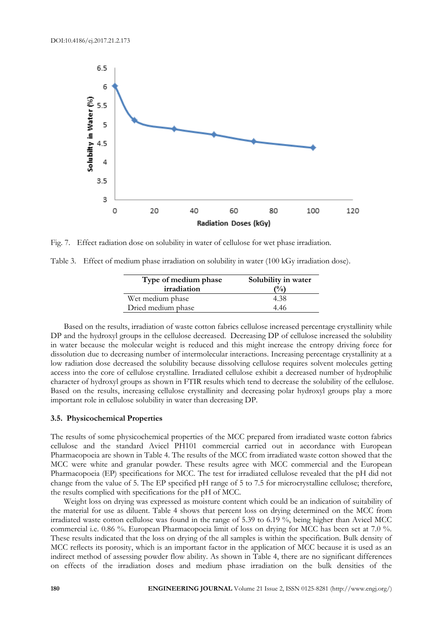

Fig. 7. Effect radiation dose on solubility in water of cellulose for wet phase irradiation.

Table 3. Effect of medium phase irradiation on solubility in water (100 kGy irradiation dose).

| Type of medium phase<br>irradiation | Solubility in water<br>$($ %) |
|-------------------------------------|-------------------------------|
| Wet medium phase                    | 4.38                          |
| Dried medium phase                  | 4.46                          |

Based on the results, irradiation of waste cotton fabrics cellulose increased percentage crystallinity while DP and the hydroxyl groups in the cellulose decreased. Decreasing DP of cellulose increased the solubility in water because the molecular weight is reduced and this might increase the entropy driving force for dissolution due to decreasing number of intermolecular interactions. Increasing percentage crystallinity at a low radiation dose decreased the solubility because dissolving cellulose requires solvent molecules getting access into the core of cellulose crystalline. Irradiated cellulose exhibit a decreased number of hydrophilic character of hydroxyl groups as shown in FTIR results which tend to decrease the solubility of the cellulose. Based on the results, increasing cellulose crystallinity and decreasing polar hydroxyl groups play a more important role in cellulose solubility in water than decreasing DP.

#### **3.5. Physicochemical Properties**

The results of some physicochemical properties of the MCC prepared from irradiated waste cotton fabrics cellulose and the standard Avicel PH101 commercial carried out in accordance with European Pharmacopoeia are shown in Table 4. The results of the MCC from irradiated waste cotton showed that the MCC were white and granular powder. These results agree with MCC commercial and the European Pharmacopoeia (EP) specifications for MCC. The test for irradiated cellulose revealed that the pH did not change from the value of 5. The EP specified pH range of 5 to 7.5 for microcrystalline cellulose; therefore, the results complied with specifications for the pH of MCC.

Weight loss on drying was expressed as moisture content which could be an indication of suitability of the material for use as diluent. Table 4 shows that percent loss on drying determined on the MCC from irradiated waste cotton cellulose was found in the range of 5.39 to 6.19 %, being higher than Avicel MCC commercial i.e. 0.86 %. European Pharmacopoeia limit of loss on drying for MCC has been set at 7.0 %. These results indicated that the loss on drying of the all samples is within the specification. Bulk density of MCC reflects its porosity, which is an important factor in the application of MCC because it is used as an indirect method of assessing powder flow ability. As shown in Table 4, there are no significant differences on effects of the irradiation doses and medium phase irradiation on the bulk densities of the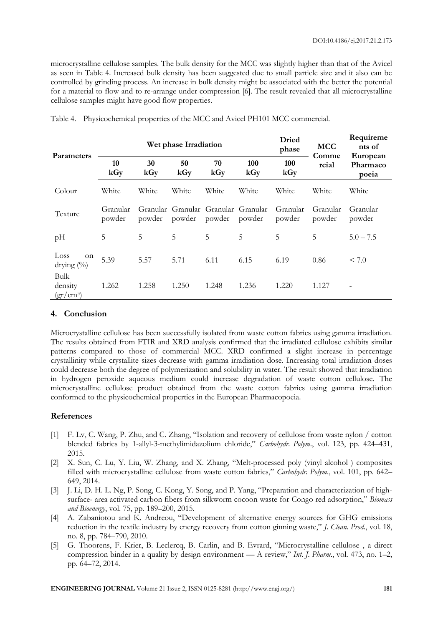microcrystalline cellulose samples. The bulk density for the MCC was slightly higher than that of the Avicel as seen in Table 4. Increased bulk density has been suggested due to small particle size and it also can be controlled by grinding process. An increase in bulk density might be associated with the better the potential for a material to flow and to re-arrange under compression [6]. The result revealed that all microcrystalline cellulose samples might have good flow properties.

| Parameters                     | Wet phase Irradiation |           |                                               |           |            | <b>Dried</b><br>phase | <b>MCC</b><br>Comme | Requireme<br>nts of           |
|--------------------------------|-----------------------|-----------|-----------------------------------------------|-----------|------------|-----------------------|---------------------|-------------------------------|
|                                | 10<br>kGy             | 30<br>kGy | 50<br>kGy                                     | 70<br>kGy | 100<br>kGy | 100<br>kGy            | rcial               | European<br>Pharmaco<br>poeia |
| Colour                         | White                 | White     | White                                         | White     | White      | White                 | White               | White                         |
| Texture                        | Granular<br>powder    | powder    | Granular Granular Granular Granular<br>powder | powder    | powder     | Granular<br>powder    | Granular<br>powder  | Granular<br>powder            |
| pH                             | 5                     | 5         | 5                                             | 5         | 5          | 5                     | 5                   | $5.0 - 7.5$                   |
| Loss<br>on<br>drying $(\%)$    | 5.39                  | 5.57      | 5.71                                          | 6.11      | 6.15       | 6.19                  | 0.86                | < 7.0                         |
| Bulk<br>density<br>$(gr/cm^3)$ | 1.262                 | 1.258     | 1.250                                         | 1.248     | 1.236      | 1.220                 | 1.127               |                               |

Table 4. Physicochemical properties of the MCC and Avicel PH101 MCC commercial.

# **4. Conclusion**

Microcrystalline cellulose has been successfully isolated from waste cotton fabrics using gamma irradiation. The results obtained from FTIR and XRD analysis confirmed that the irradiated cellulose exhibits similar patterns compared to those of commercial MCC. XRD confirmed a slight increase in percentage crystallinity while crystallite sizes decrease with gamma irradiation dose. Increasing total irradiation doses could decrease both the degree of polymerization and solubility in water. The result showed that irradiation in hydrogen peroxide aqueous medium could increase degradation of waste cotton cellulose. The microcrystalline cellulose product obtained from the waste cotton fabrics using gamma irradiation conformed to the physicochemical properties in the European Pharmacopoeia.

# **References**

- [1] F. Lv, C. Wang, P. Zhu, and C. Zhang, "Isolation and recovery of cellulose from waste nylon / cotton blended fabrics by 1-allyl-3-methylimidazolium chloride," *Carbohydr. Polym*., vol. 123, pp. 424–431, 2015.
- [2] X. Sun, C. Lu, Y. Liu, W. Zhang, and X. Zhang, "Melt-processed poly (vinyl alcohol ) composites filled with microcrystalline cellulose from waste cotton fabrics," *Carbohydr. Polym.*, vol. 101, pp. 642– 649, 2014.
- [3] J. Li, D. H. L. Ng, P. Song, C. Kong, Y. Song, and P. Yang, "Preparation and characterization of highsurface- area activated carbon fibers from silkworm cocoon waste for Congo red adsorption," *Biomass and Bioenergy*, vol. 75, pp. 189–200, 2015.
- [4] A. Zabaniotou and K. Andreou, "Development of alternative energy sources for GHG emissions reduction in the textile industry by energy recovery from cotton ginning waste," *J. Clean. Prod*., vol. 18, no. 8, pp. 784–790, 2010.
- [5] G. Thoorens, F. Krier, B. Leclercq, B. Carlin, and B. Evrard, "Microcrystalline cellulose , a direct compression binder in a quality by design environment — A review," *Int. J. Pharm*., vol. 473, no. 1–2, pp. 64–72, 2014.